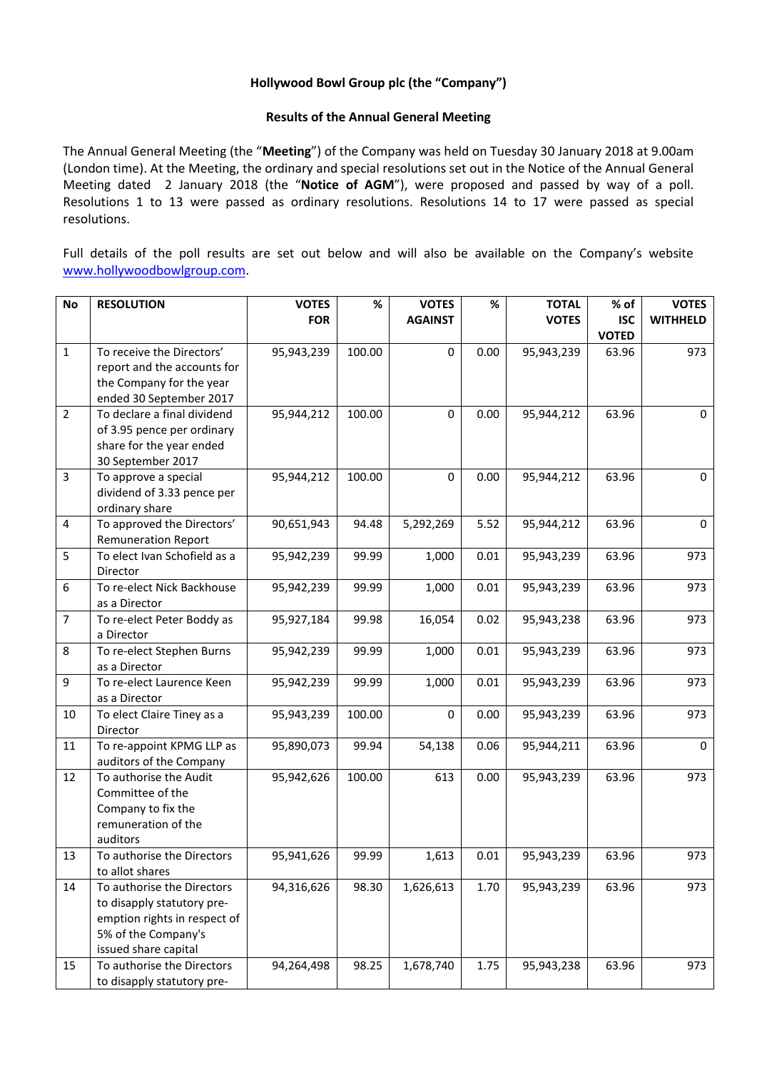## **Hollywood Bowl Group plc (the "Company")**

## **Results of the Annual General Meeting**

The Annual General Meeting (the "**Meeting**") of the Company was held on Tuesday 30 January 2018 at 9.00am (London time). At the Meeting, the ordinary and special resolutions set out in the Notice of the Annual General Meeting dated 2 January 2018 (the "**Notice of AGM**"), were proposed and passed by way of a poll. Resolutions 1 to 13 were passed as ordinary resolutions. Resolutions 14 to 17 were passed as special resolutions.

Full details of the poll results are set out below and will also be available on the Company's website [www.hollywoodbowlgroup.com.](http://www.hollywoodbowlgroup.com/)

| <b>No</b>        | <b>RESOLUTION</b>                     | <b>VOTES</b> | %      | <b>VOTES</b>   | %    | <b>TOTAL</b> | % of         | <b>VOTES</b>    |
|------------------|---------------------------------------|--------------|--------|----------------|------|--------------|--------------|-----------------|
|                  |                                       | <b>FOR</b>   |        | <b>AGAINST</b> |      | <b>VOTES</b> | <b>ISC</b>   | <b>WITHHELD</b> |
|                  |                                       |              |        |                |      |              | <b>VOTED</b> |                 |
| $\mathbf{1}$     | To receive the Directors'             | 95,943,239   | 100.00 | $\mathbf 0$    | 0.00 | 95,943,239   | 63.96        | 973             |
|                  | report and the accounts for           |              |        |                |      |              |              |                 |
|                  | the Company for the year              |              |        |                |      |              |              |                 |
|                  | ended 30 September 2017               |              |        |                |      |              |              |                 |
| $\overline{2}$   | To declare a final dividend           | 95,944,212   | 100.00 | 0              | 0.00 | 95,944,212   | 63.96        | 0               |
|                  | of 3.95 pence per ordinary            |              |        |                |      |              |              |                 |
|                  | share for the year ended              |              |        |                |      |              |              |                 |
|                  | 30 September 2017                     |              |        |                |      |              |              |                 |
| $\overline{3}$   | To approve a special                  | 95,944,212   | 100.00 | $\mathbf 0$    | 0.00 | 95,944,212   | 63.96        | 0               |
|                  | dividend of 3.33 pence per            |              |        |                |      |              |              |                 |
|                  | ordinary share                        |              |        |                |      |              |              |                 |
| 4                | To approved the Directors'            | 90,651,943   | 94.48  | 5,292,269      | 5.52 | 95,944,212   | 63.96        | $\mathbf 0$     |
|                  | <b>Remuneration Report</b>            |              |        |                |      |              |              |                 |
| 5                | To elect Ivan Schofield as a          | 95,942,239   | 99.99  | 1,000          | 0.01 | 95,943,239   | 63.96        | 973             |
|                  | Director                              |              |        |                |      |              |              |                 |
| $\boldsymbol{6}$ | To re-elect Nick Backhouse            | 95,942,239   | 99.99  | 1,000          | 0.01 | 95,943,239   | 63.96        | 973             |
|                  | as a Director                         |              |        |                |      |              |              |                 |
| $\overline{7}$   | To re-elect Peter Boddy as            | 95,927,184   | 99.98  | 16,054         | 0.02 | 95,943,238   | 63.96        | 973             |
|                  | a Director                            |              |        |                |      |              |              |                 |
| 8                | To re-elect Stephen Burns             | 95,942,239   | 99.99  | 1,000          | 0.01 | 95,943,239   | 63.96        | 973             |
|                  | as a Director                         |              |        |                |      |              |              |                 |
| 9                | To re-elect Laurence Keen             | 95,942,239   | 99.99  | 1,000          | 0.01 | 95,943,239   | 63.96        | 973             |
|                  | as a Director                         |              |        |                |      |              |              |                 |
| 10               | To elect Claire Tiney as a            | 95,943,239   | 100.00 | $\mathbf 0$    | 0.00 | 95,943,239   | 63.96        | 973             |
| 11               | Director<br>To re-appoint KPMG LLP as | 95,890,073   | 99.94  |                | 0.06 | 95,944,211   | 63.96        | $\mathbf 0$     |
|                  | auditors of the Company               |              |        | 54,138         |      |              |              |                 |
| 12               | To authorise the Audit                | 95,942,626   | 100.00 | 613            | 0.00 | 95,943,239   | 63.96        | 973             |
|                  | Committee of the                      |              |        |                |      |              |              |                 |
|                  | Company to fix the                    |              |        |                |      |              |              |                 |
|                  | remuneration of the                   |              |        |                |      |              |              |                 |
|                  | auditors                              |              |        |                |      |              |              |                 |
| 13               | To authorise the Directors            | 95,941,626   | 99.99  | 1,613          | 0.01 | 95,943,239   | 63.96        | 973             |
|                  | to allot shares                       |              |        |                |      |              |              |                 |
| 14               | To authorise the Directors            | 94,316,626   | 98.30  | 1,626,613      | 1.70 | 95,943,239   | 63.96        | 973             |
|                  | to disapply statutory pre-            |              |        |                |      |              |              |                 |
|                  | emption rights in respect of          |              |        |                |      |              |              |                 |
|                  | 5% of the Company's                   |              |        |                |      |              |              |                 |
|                  | issued share capital                  |              |        |                |      |              |              |                 |
| 15               | To authorise the Directors            | 94,264,498   | 98.25  | 1,678,740      | 1.75 | 95,943,238   | 63.96        | 973             |
|                  | to disapply statutory pre-            |              |        |                |      |              |              |                 |